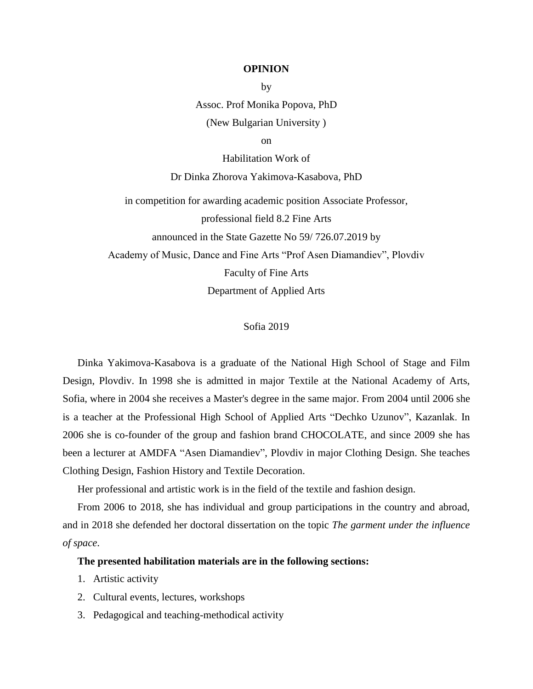## **OPINION** by

Assoc. Prof Monika Popova, PhD (New Bulgarian University )

on

Habilitation Work of

Dr Dinka Zhorova Yakimova-Kasabova, PhD

in competition for awarding academic position Associate Professor, professional field 8.2 Fine Arts announced in the State Gazette No 59/ 726.07.2019 by Academy of Music, Dance and Fine Arts "Prof Asen Diamandiev", Plovdiv Faculty of Fine Arts Department of Applied Arts

## Sofia 2019

Dinka Yakimova-Kasabova is a graduate of the National High School of Stage and Film Design, Plovdiv. In 1998 she is admitted in major Textile at the National Academy of Arts, Sofia, where in 2004 she receives a Master's degree in the same major. From 2004 until 2006 she is a teacher at the Professional High School of Applied Arts "Dechko Uzunov", Kazanlak. In 2006 she is co-founder of the group and fashion brand CHOCOLATE, and since 2009 she has been a lecturer at AMDFA "Asen Diamandiev", Plovdiv in major Clothing Design. She teaches Clothing Design, Fashion History and Textile Decoration.

Her professional and artistic work is in the field of the textile and fashion design.

From 2006 to 2018, she has individual and group participations in the country and abroad, and in 2018 she defended her doctoral dissertation on the topic *The garment under the influence of space*.

## **The presented habilitation materials are in the following sections:**

- 1. Artistic activity
- 2. Cultural events, lectures, workshops
- 3. Pedagogical and teaching-methodical activity